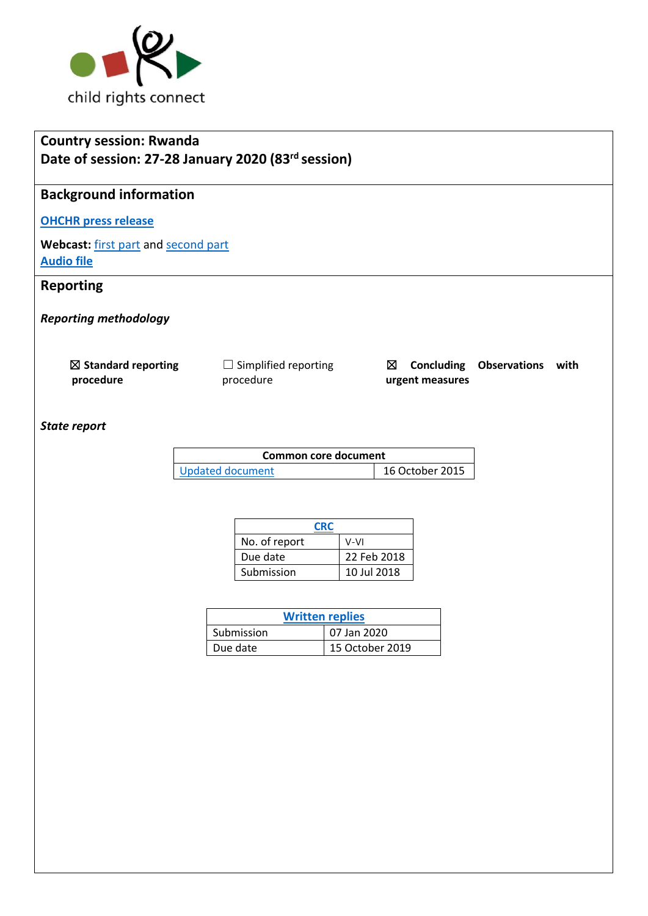

# **Country session: Rwanda Date of session: 27-28 January 2020 (83rd session)**

# **Background information**

# **[OHCHR press release](https://www.ohchr.org/EN/NewsEvents/Pages/DisplayNews.aspx?NewsID=25505&LangID=E)**

Webcast: [first part](http://webtv.un.org/meetings-events/human-rights-treaty-bodies/committee-on-the-rights-of-the-child/watch/consideration-of-rwanda-2442nd-meeting-83rd-session-committee-on-the-rights-of-the-child/6126971255001/?term=) an[d second part](http://webtv.un.org/meetings-events/human-rights-treaty-bodies/committee-on-the-rights-of-the-child/watch/consideration-of-rwanda-contd-2443rd-meeting-83rd-session-committee-on-the-rights-of-the-child/6127240885001/?term=) **[Audio file](https://conf.unog.ch/digitalrecordings/)**

# **Reporting**

*Reporting methodology*

| $\boxtimes$ Standard reporting | $\Box$ Simplified reporting |                 | $\boxtimes$ Concluding Observations with |  |
|--------------------------------|-----------------------------|-----------------|------------------------------------------|--|
| procedure                      | procedure                   | urgent measures |                                          |  |

### *State report*

| Common core document |                 |  |
|----------------------|-----------------|--|
| Updated document     | 16 October 2015 |  |

| CRC           |             |  |
|---------------|-------------|--|
| No. of report | V-VI        |  |
| Due date      | 22 Feb 2018 |  |
| Submission    | 10 Jul 2018 |  |

| <b>Written replies</b> |                 |  |
|------------------------|-----------------|--|
| Submission             | 07 Jan 2020     |  |
| Due date               | 15 October 2019 |  |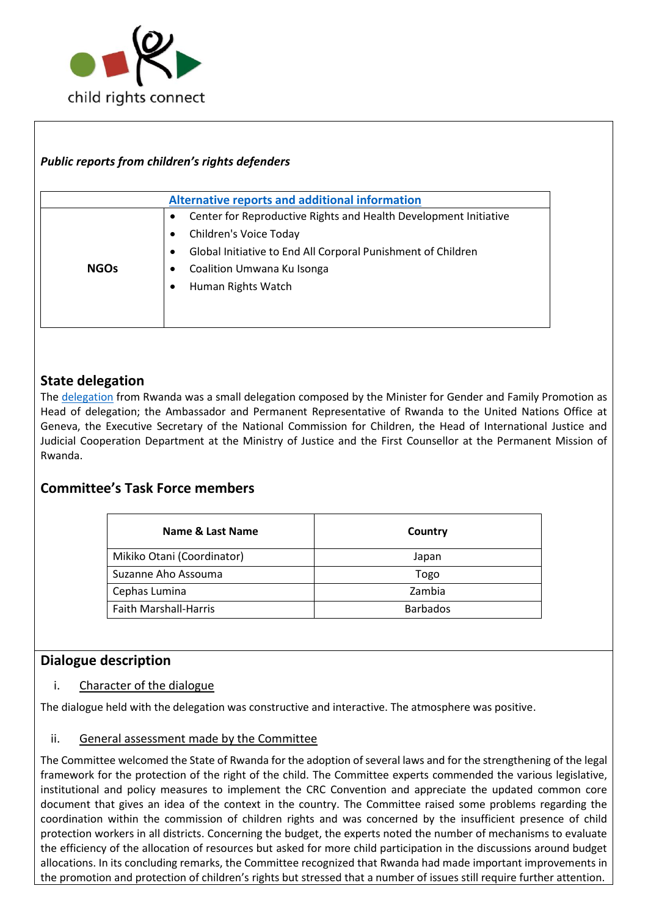

## *Public reports from children's rights defenders*

|             | <b>Alternative reports and additional information</b>                                                                                                                                                               |
|-------------|---------------------------------------------------------------------------------------------------------------------------------------------------------------------------------------------------------------------|
| <b>NGOs</b> | Center for Reproductive Rights and Health Development Initiative<br>Children's Voice Today<br>٠<br>Global Initiative to End All Corporal Punishment of Children<br>Coalition Umwana Ku Isonga<br>Human Rights Watch |

## **State delegation**

The [delegation](https://tbinternet.ohchr.org/_layouts/15/treatybodyexternal/Download.aspx?symbolno=INT%2fCRC%2fLOP%2fRWA%2f41270&Lang=en) from Rwanda was a small delegation composed by the Minister for Gender and Family Promotion as Head of delegation; the Ambassador and Permanent Representative of Rwanda to the United Nations Office at Geneva, the Executive Secretary of the National Commission for Children, the Head of International Justice and Judicial Cooperation Department at the Ministry of Justice and the First Counsellor at the Permanent Mission of Rwanda.

### **Committee's Task Force members**

| Name & Last Name             | Country         |
|------------------------------|-----------------|
| Mikiko Otani (Coordinator)   | Japan           |
| Suzanne Aho Assouma          | Togo            |
| Cephas Lumina                | Zambia          |
| <b>Faith Marshall-Harris</b> | <b>Barbados</b> |

### **Dialogue description**

#### i. Character of the dialogue

The dialogue held with the delegation was constructive and interactive. The atmosphere was positive.

#### ii. General assessment made by the Committee

The Committee welcomed the State of Rwanda for the adoption of several laws and for the strengthening of the legal framework for the protection of the right of the child. The Committee experts commended the various legislative, institutional and policy measures to implement the CRC Convention and appreciate the updated common core document that gives an idea of the context in the country. The Committee raised some problems regarding the coordination within the commission of children rights and was concerned by the insufficient presence of child protection workers in all districts. Concerning the budget, the experts noted the number of mechanisms to evaluate the efficiency of the allocation of resources but asked for more child participation in the discussions around budget allocations. In its concluding remarks, the Committee recognized that Rwanda had made important improvements in the promotion and protection of children's rights but stressed that a number of issues still require further attention.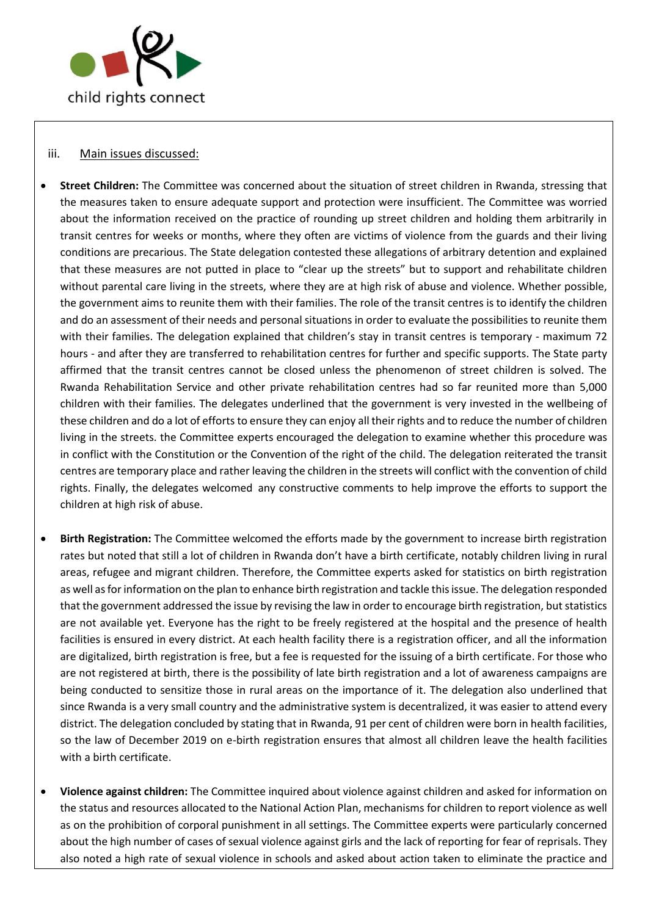

#### iii. Main issues discussed:

- **Street Children:** The Committee was concerned about the situation of street children in Rwanda, stressing that the measures taken to ensure adequate support and protection were insufficient. The Committee was worried about the information received on the practice of rounding up street children and holding them arbitrarily in transit centres for weeks or months, where they often are victims of violence from the guards and their living conditions are precarious. The State delegation contested these allegations of arbitrary detention and explained that these measures are not putted in place to "clear up the streets" but to support and rehabilitate children without parental care living in the streets, where they are at high risk of abuse and violence. Whether possible, the government aims to reunite them with their families. The role of the transit centres is to identify the children and do an assessment of their needs and personal situations in order to evaluate the possibilities to reunite them with their families. The delegation explained that children's stay in transit centres is temporary - maximum 72 hours - and after they are transferred to rehabilitation centres for further and specific supports. The State party affirmed that the transit centres cannot be closed unless the phenomenon of street children is solved. The Rwanda Rehabilitation Service and other private rehabilitation centres had so far reunited more than 5,000 children with their families. The delegates underlined that the government is very invested in the wellbeing of these children and do a lot of efforts to ensure they can enjoy all their rights and to reduce the number of children living in the streets. the Committee experts encouraged the delegation to examine whether this procedure was in conflict with the Constitution or the Convention of the right of the child. The delegation reiterated the transit centres are temporary place and rather leaving the children in the streets will conflict with the convention of child rights. Finally, the delegates welcomed any constructive comments to help improve the efforts to support the children at high risk of abuse.
- **Birth Registration:** The Committee welcomed the efforts made by the government to increase birth registration rates but noted that still a lot of children in Rwanda don't have a birth certificate, notably children living in rural areas, refugee and migrant children. Therefore, the Committee experts asked for statistics on birth registration as well as for information on the plan to enhance birth registration and tackle this issue. The delegation responded that the government addressed the issue by revising the law in order to encourage birth registration, but statistics are not available yet. Everyone has the right to be freely registered at the hospital and the presence of health facilities is ensured in every district. At each health facility there is a registration officer, and all the information are digitalized, birth registration is free, but a fee is requested for the issuing of a birth certificate. For those who are not registered at birth, there is the possibility of late birth registration and a lot of awareness campaigns are being conducted to sensitize those in rural areas on the importance of it. The delegation also underlined that since Rwanda is a very small country and the administrative system is decentralized, it was easier to attend every district. The delegation concluded by stating that in Rwanda, 91 per cent of children were born in health facilities, so the law of December 2019 on e-birth registration ensures that almost all children leave the health facilities with a birth certificate.
- **Violence against children:** The Committee inquired about violence against children and asked for information on the status and resources allocated to the National Action Plan, mechanisms for children to report violence as well as on the prohibition of corporal punishment in all settings. The Committee experts were particularly concerned about the high number of cases of sexual violence against girls and the lack of reporting for fear of reprisals. They also noted a high rate of sexual violence in schools and asked about action taken to eliminate the practice and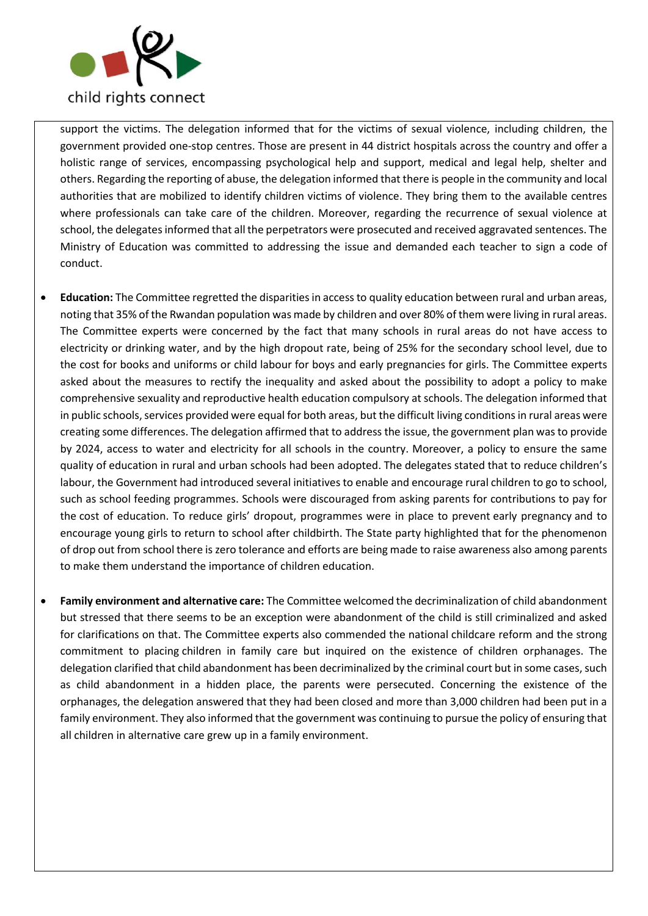

support the victims. The delegation informed that for the victims of sexual violence, including children, the government provided one-stop centres. Those are present in 44 district hospitals across the country and offer a holistic range of services, encompassing psychological help and support, medical and legal help, shelter and others. Regarding the reporting of abuse, the delegation informed that there is people in the community and local authorities that are mobilized to identify children victims of violence. They bring them to the available centres where professionals can take care of the children. Moreover, regarding the recurrence of sexual violence at school, the delegates informed that all the perpetrators were prosecuted and received aggravated sentences. The Ministry of Education was committed to addressing the issue and demanded each teacher to sign a code of conduct.

- **Education:** The Committee regretted the disparities in access to quality education between rural and urban areas, noting that 35% of the Rwandan population was made by children and over 80% of them were living in rural areas. The Committee experts were concerned by the fact that many schools in rural areas do not have access to electricity or drinking water, and by the high dropout rate, being of 25% for the secondary school level, due to the cost for books and uniforms or child labour for boys and early pregnancies for girls. The Committee experts asked about the measures to rectify the inequality and asked about the possibility to adopt a policy to make comprehensive sexuality and reproductive health education compulsory at schools. The delegation informed that in public schools, services provided were equal for both areas, but the difficult living conditions in rural areas were creating some differences. The delegation affirmed that to address the issue, the government plan was to provide by 2024, access to water and electricity for all schools in the country. Moreover, a policy to ensure the same quality of education in rural and urban schools had been adopted. The delegates stated that to reduce children's labour, the Government had introduced several initiatives to enable and encourage rural children to go to school, such as school feeding programmes. Schools were discouraged from asking parents for contributions to pay for the cost of education. To reduce girls' dropout, programmes were in place to prevent early pregnancy and to encourage young girls to return to school after childbirth. The State party highlighted that for the phenomenon of drop out from school there is zero tolerance and efforts are being made to raise awareness also among parents to make them understand the importance of children education.
- **Family environment and alternative care:** The Committee welcomed the decriminalization of child abandonment but stressed that there seems to be an exception were abandonment of the child is still criminalized and asked for clarifications on that. The Committee experts also commended the national childcare reform and the strong commitment to placing children in family care but inquired on the existence of children orphanages. The delegation clarified that child abandonment has been decriminalized by the criminal court but in some cases, such as child abandonment in a hidden place, the parents were persecuted. Concerning the existence of the orphanages, the delegation answered that they had been closed and more than 3,000 children had been put in a family environment. They also informed that the government was continuing to pursue the policy of ensuring that all children in alternative care grew up in a family environment.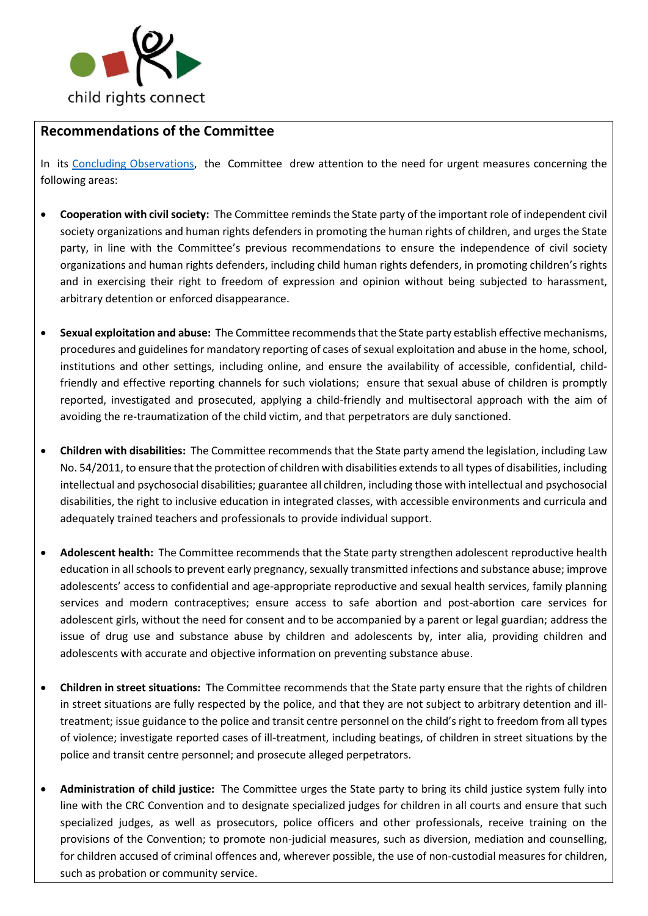

## **Recommendations of the Committee**

In its [Concluding Observations,](https://tbinternet.ohchr.org/_layouts/15/treatybodyexternal/Download.aspx?symbolno=CRC%2fC%2fRWA%2fCO%2f5-6&Lang=en) the Committee drew attention to the need for urgent measures concerning the following areas:

- **Cooperation with civil society:** The Committee reminds the State party of the important role of independent civil society organizations and human rights defenders in promoting the human rights of children, and urges the State party, in line with the Committee's previous recommendations to ensure the independence of civil society organizations and human rights defenders, including child human rights defenders, in promoting children's rights and in exercising their right to freedom of expression and opinion without being subjected to harassment, arbitrary detention or enforced disappearance.
- **Sexual exploitation and abuse:** The Committee recommends that the State party establish effective mechanisms, procedures and guidelines for mandatory reporting of cases of sexual exploitation and abuse in the home, school, institutions and other settings, including online, and ensure the availability of accessible, confidential, childfriendly and effective reporting channels for such violations; ensure that sexual abuse of children is promptly reported, investigated and prosecuted, applying a child-friendly and multisectoral approach with the aim of avoiding the re-traumatization of the child victim, and that perpetrators are duly sanctioned.
- **Children with disabilities:** The Committee recommends that the State party amend the legislation, including Law No. 54/2011, to ensure that the protection of children with disabilities extends to all types of disabilities, including intellectual and psychosocial disabilities; guarantee all children, including those with intellectual and psychosocial disabilities, the right to inclusive education in integrated classes, with accessible environments and curricula and adequately trained teachers and professionals to provide individual support.
- **Adolescent health:** The Committee recommends that the State party strengthen adolescent reproductive health education in all schools to prevent early pregnancy, sexually transmitted infections and substance abuse; improve adolescents' access to confidential and age-appropriate reproductive and sexual health services, family planning services and modern contraceptives; ensure access to safe abortion and post-abortion care services for adolescent girls, without the need for consent and to be accompanied by a parent or legal guardian; address the issue of drug use and substance abuse by children and adolescents by, inter alia, providing children and adolescents with accurate and objective information on preventing substance abuse.
- **Children in street situations:** The Committee recommends that the State party ensure that the rights of children in street situations are fully respected by the police, and that they are not subject to arbitrary detention and illtreatment; issue guidance to the police and transit centre personnel on the child's right to freedom from all types of violence; investigate reported cases of ill-treatment, including beatings, of children in street situations by the police and transit centre personnel; and prosecute alleged perpetrators.
- **Administration of child justice:** The Committee urges the State party to bring its child justice system fully into line with the CRC Convention and to designate specialized judges for children in all courts and ensure that such specialized judges, as well as prosecutors, police officers and other professionals, receive training on the provisions of the Convention; to promote non-judicial measures, such as diversion, mediation and counselling, for children accused of criminal offences and, wherever possible, the use of non-custodial measures for children, such as probation or community service.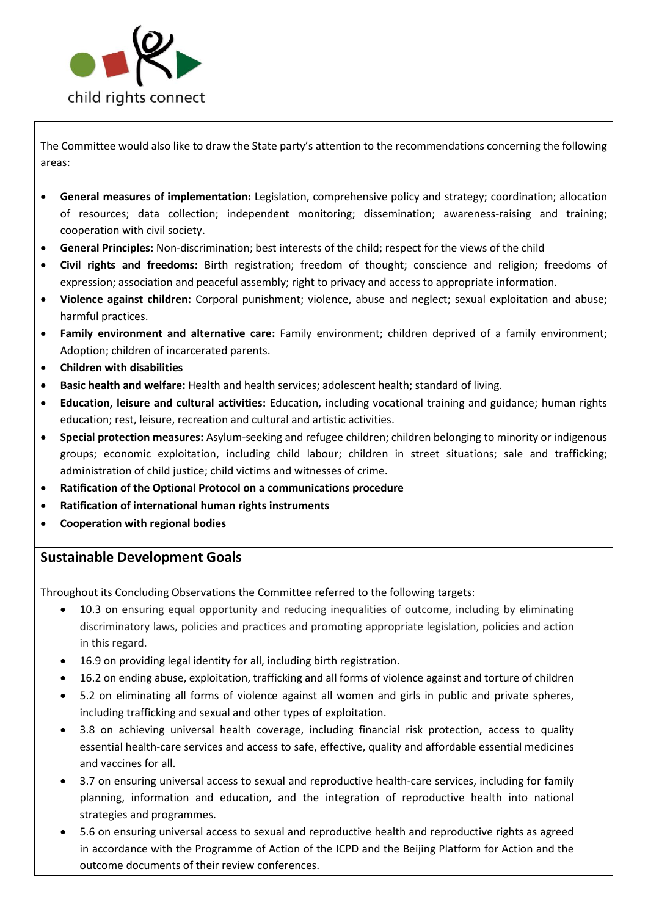

The Committee would also like to draw the State party's attention to the recommendations concerning the following areas:

- **General measures of implementation:** Legislation, comprehensive policy and strategy; coordination; allocation of resources; data collection; independent monitoring; dissemination; awareness-raising and training; cooperation with civil society.
- **General Principles:** Non-discrimination; best interests of the child; respect for the views of the child
- **Civil rights and freedoms:** Birth registration; freedom of thought; conscience and religion; freedoms of expression; association and peaceful assembly; right to privacy and access to appropriate information.
- **Violence against children:** Corporal punishment; violence, abuse and neglect; sexual exploitation and abuse; harmful practices.
- **Family environment and alternative care:** Family environment; children deprived of a family environment; Adoption; children of incarcerated parents.
- **Children with disabilities**
- **Basic health and welfare:** Health and health services; adolescent health; standard of living.
- **Education, leisure and cultural activities:** Education, including vocational training and guidance; human rights education; rest, leisure, recreation and cultural and artistic activities.
- **Special protection measures:** Asylum-seeking and refugee children; children belonging to minority or indigenous groups; economic exploitation, including child labour; children in street situations; sale and trafficking; administration of child justice; child victims and witnesses of crime.
- **Ratification of the Optional Protocol on a communications procedure**
- **Ratification of international human rights instruments**
- **Cooperation with regional bodies**

### **Sustainable Development Goals**

Throughout its Concluding Observations the Committee referred to the following targets:

- 10.3 on ensuring equal opportunity and reducing inequalities of outcome, including by eliminating discriminatory laws, policies and practices and promoting appropriate legislation, policies and action in this regard.
- 16.9 on providing legal identity for all, including birth registration.
- 16.2 on ending abuse, exploitation, trafficking and all forms of violence against and torture of children
- 5.2 on eliminating all forms of violence against all women and girls in public and private spheres, including trafficking and sexual and other types of exploitation.
- 3.8 on achieving universal health coverage, including financial risk protection, access to quality essential health-care services and access to safe, effective, quality and affordable essential medicines and vaccines for all.
- 3.7 on ensuring universal access to sexual and reproductive health-care services, including for family planning, information and education, and the integration of reproductive health into national strategies and programmes.
- 5.6 on ensuring universal access to sexual and reproductive health and reproductive rights as agreed in accordance with the Programme of Action of the ICPD and the Beijing Platform for Action and the outcome documents of their review conferences.